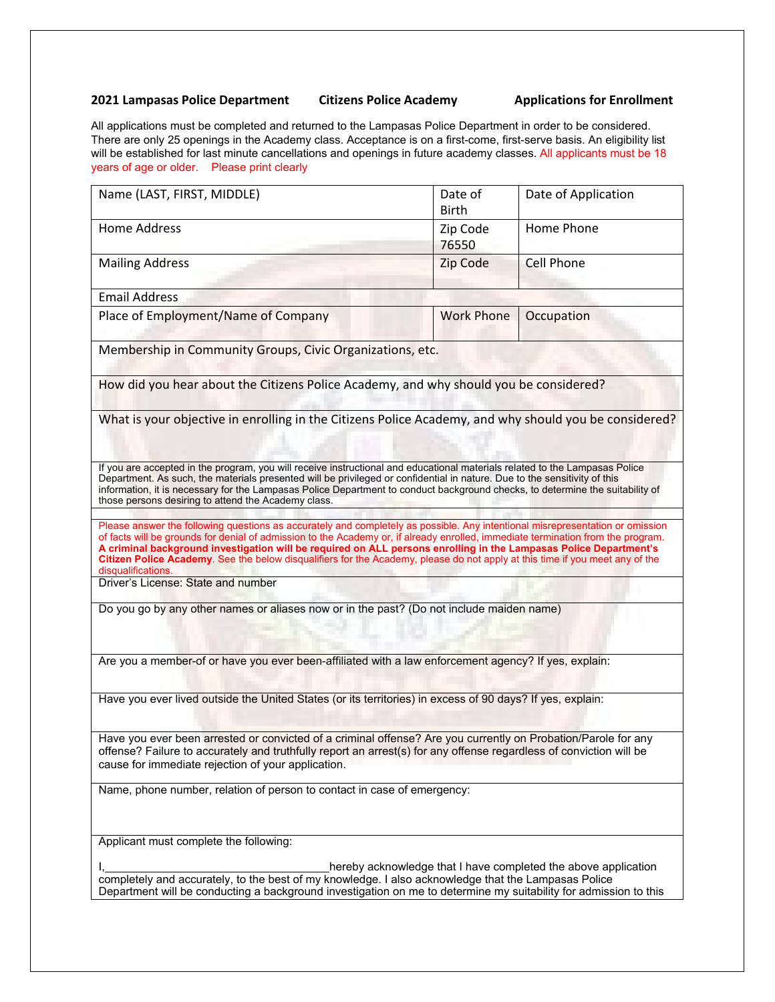## **2021 Lampasas Police Department Citizens Police Academy Applications for Enrollment**

All applications must be completed and returned to the Lampasas Police Department in order to be considered. There are only 25 openings in the Academy class. Acceptance is on a first-come, first-serve basis. An eligibility list will be established for last minute cancellations and openings in future academy classes. All applicants must be 18 years of age or older. Please print clearly

|                                                                                                                                                                                                                                                                                                                                                                                                                                                                                                                                              | Date of<br><b>Birth</b> | Date of Application |
|----------------------------------------------------------------------------------------------------------------------------------------------------------------------------------------------------------------------------------------------------------------------------------------------------------------------------------------------------------------------------------------------------------------------------------------------------------------------------------------------------------------------------------------------|-------------------------|---------------------|
| <b>Home Address</b>                                                                                                                                                                                                                                                                                                                                                                                                                                                                                                                          | Zip Code<br>76550       | Home Phone          |
| <b>Mailing Address</b>                                                                                                                                                                                                                                                                                                                                                                                                                                                                                                                       | Zip Code                | <b>Cell Phone</b>   |
| <b>Email Address</b>                                                                                                                                                                                                                                                                                                                                                                                                                                                                                                                         |                         |                     |
| Place of Employment/Name of Company                                                                                                                                                                                                                                                                                                                                                                                                                                                                                                          | <b>Work Phone</b>       | Occupation          |
| Membership in Community Groups, Civic Organizations, etc.                                                                                                                                                                                                                                                                                                                                                                                                                                                                                    |                         |                     |
| How did you hear about the Citizens Police Academy, and why should you be considered?                                                                                                                                                                                                                                                                                                                                                                                                                                                        |                         |                     |
| What is your objective in enrolling in the Citizens Police Academy, and why should you be considered?                                                                                                                                                                                                                                                                                                                                                                                                                                        |                         |                     |
|                                                                                                                                                                                                                                                                                                                                                                                                                                                                                                                                              |                         |                     |
| If you are accepted in the program, you will receive instructional and educational materials related to the Lampasas Police<br>Department. As such, the materials presented will be privileged or confidential in nature. Due to the sensitivity of this<br>information, it is necessary for the Lampasas Police Department to conduct background checks, to determine the suitability of<br>those persons desiring to attend the Academy class.                                                                                             |                         |                     |
| Please answer the following questions as accurately and completely as possible. Any intentional misrepresentation or omission<br>of facts will be grounds for denial of admission to the Academy or, if already enrolled, immediate termination from the program.<br>A criminal background investigation will be required on ALL persons enrolling in the Lampasas Police Department's<br>Citizen Police Academy. See the below disqualifiers for the Academy, please do not apply at this time if you meet any of the<br>disqualifications. |                         |                     |
|                                                                                                                                                                                                                                                                                                                                                                                                                                                                                                                                              |                         |                     |
| Driver's License: State and number                                                                                                                                                                                                                                                                                                                                                                                                                                                                                                           |                         |                     |
| Do you go by any other names or aliases now or in the past? (Do not include maiden name)                                                                                                                                                                                                                                                                                                                                                                                                                                                     |                         |                     |
| Are you a member-of or have you ever been-affiliated with a law enforcement agency? If yes, explain:                                                                                                                                                                                                                                                                                                                                                                                                                                         |                         |                     |
| Have you ever lived outside the United States (or its territories) in excess of 90 days? If yes, explain:                                                                                                                                                                                                                                                                                                                                                                                                                                    |                         |                     |
| Have you ever been arrested or convicted of a criminal offense? Are you currently on Probation/Parole for any<br>offense? Failure to accurately and truthfully report an arrest(s) for any offense regardless of conviction will be<br>cause for immediate rejection of your application.                                                                                                                                                                                                                                                    |                         |                     |
| Name, phone number, relation of person to contact in case of emergency:                                                                                                                                                                                                                                                                                                                                                                                                                                                                      |                         |                     |
| Applicant must complete the following:                                                                                                                                                                                                                                                                                                                                                                                                                                                                                                       |                         |                     |